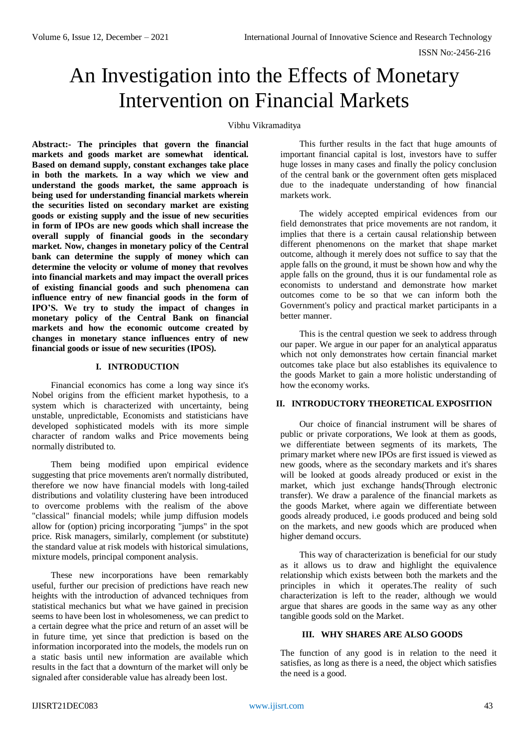# An Investigation into the Effects of Monetary Intervention on Financial Markets

#### Vibhu Vikramaditya

**Abstract:- The principles that govern the financial markets and goods market are somewhat identical. Based on demand supply, constant exchanges take place in both the markets. In a way which we view and understand the goods market, the same approach is being used for understanding financial markets wherein the securities listed on secondary market are existing goods or existing supply and the issue of new securities in form of IPOs are new goods which shall increase the overall supply of financial goods in the secondary market. Now, changes in monetary policy of the Central bank can determine the supply of money which can determine the velocity or volume of money that revolves into financial markets and may impact the overall prices of existing financial goods and such phenomena can influence entry of new financial goods in the form of IPO'S. We try to study the impact of changes in monetary policy of the Central Bank on financial markets and how the economic outcome created by changes in monetary stance influences entry of new financial goods or issue of new securities (IPOS).**

# **I. INTRODUCTION**

Financial economics has come a long way since it's Nobel origins from the efficient market hypothesis, to a system which is characterized with uncertainty, being unstable, unpredictable, Economists and statisticians have developed sophisticated models with its more simple character of random walks and Price movements being normally distributed to.

Them being modified upon empirical evidence suggesting that price movements aren't normally distributed, therefore we now have financial models with long-tailed distributions and volatility clustering have been introduced to overcome problems with the realism of the above "classical" financial models; while jump diffusion models allow for (option) pricing incorporating "jumps" in the spot price. Risk managers, similarly, complement (or substitute) the standard value at risk models with historical simulations, mixture models, principal component analysis.

These new incorporations have been remarkably useful, further our precision of predictions have reach new heights with the introduction of advanced techniques from statistical mechanics but what we have gained in precision seems to have been lost in wholesomeness, we can predict to a certain degree what the price and return of an asset will be in future time, yet since that prediction is based on the information incorporated into the models, the models run on a static basis until new information are available which results in the fact that a downturn of the market will only be signaled after considerable value has already been lost.

This further results in the fact that huge amounts of important financial capital is lost, investors have to suffer huge losses in many cases and finally the policy conclusion of the central bank or the government often gets misplaced due to the inadequate understanding of how financial markets work.

The widely accepted empirical evidences from our field demonstrates that price movements are not random, it implies that there is a certain causal relationship between different phenomenons on the market that shape market outcome, although it merely does not suffice to say that the apple falls on the ground, it must be shown how and why the apple falls on the ground, thus it is our fundamental role as economists to understand and demonstrate how market outcomes come to be so that we can inform both the Government's policy and practical market participants in a better manner.

This is the central question we seek to address through our paper. We argue in our paper for an analytical apparatus which not only demonstrates how certain financial market outcomes take place but also establishes its equivalence to the goods Market to gain a more holistic understanding of how the economy works.

# **II. INTRODUCTORY THEORETICAL EXPOSITION**

Our choice of financial instrument will be shares of public or private corporations, We look at them as goods, we differentiate between segments of its markets, The primary market where new IPOs are first issued is viewed as new goods, where as the secondary markets and it's shares will be looked at goods already produced or exist in the market, which just exchange hands(Through electronic transfer). We draw a paralence of the financial markets as the goods Market, where again we differentiate between goods already produced, i.e goods produced and being sold on the markets, and new goods which are produced when higher demand occurs.

This way of characterization is beneficial for our study as it allows us to draw and highlight the equivalence relationship which exists between both the markets and the principles in which it operates.The reality of such characterization is left to the reader, although we would argue that shares are goods in the same way as any other tangible goods sold on the Market.

# **III. WHY SHARES ARE ALSO GOODS**

The function of any good is in relation to the need it satisfies, as long as there is a need, the object which satisfies the need is a good.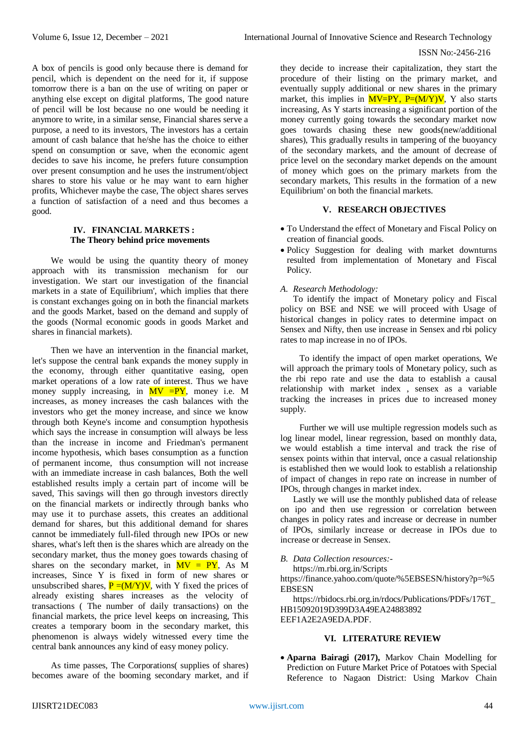A box of pencils is good only because there is demand for pencil, which is dependent on the need for it, if suppose tomorrow there is a ban on the use of writing on paper or anything else except on digital platforms, The good nature of pencil will be lost because no one would be needing it anymore to write, in a similar sense, Financial shares serve a purpose, a need to its investors, The investors has a certain amount of cash balance that he/she has the choice to either spend on consumption or save, when the economic agent decides to save his income, he prefers future consumption over present consumption and he uses the instrument/object shares to store his value or he may want to earn higher profits, Whichever maybe the case, The object shares serves a function of satisfaction of a need and thus becomes a good.

## **IV. FINANCIAL MARKETS : The Theory behind price movements**

We would be using the quantity theory of money approach with its transmission mechanism for our investigation. We start our investigation of the financial markets in a state of Equilibrium', which implies that there is constant exchanges going on in both the financial markets and the goods Market, based on the demand and supply of the goods (Normal economic goods in goods Market and shares in financial markets).

Then we have an intervention in the financial market, let's suppose the central bank expands the money supply in the economy, through either quantitative easing, open market operations of a low rate of interest. Thus we have money supply increasing, in  $MV = PY$ , money i.e. M increases, as money increases the cash balances with the investors who get the money increase, and since we know through both Keyne's income and consumption hypothesis which says the increase in consumption will always be less than the increase in income and Friedman's permanent income hypothesis, which bases consumption as a function of permanent income, thus consumption will not increase with an immediate increase in cash balances, Both the well established results imply a certain part of income will be saved. This savings will then go through investors directly on the financial markets or indirectly through banks who may use it to purchase assets, this creates an additional demand for shares, but this additional demand for shares cannot be immediately full-filed through new IPOs or new shares, what's left then is the shares which are already on the secondary market, thus the money goes towards chasing of shares on the secondary market, in  $MV = PY$ , As M increases, Since Y is fixed in form of new shares or unsubscribed shares,  $P = (M/Y)V$ , with Y fixed the prices of already existing shares increases as the velocity of transactions ( The number of daily transactions) on the financial markets, the price level keeps on increasing, This creates a temporary boom in the secondary market, this phenomenon is always widely witnessed every time the central bank announces any kind of easy money policy.

As time passes, The Corporations( supplies of shares) becomes aware of the booming secondary market, and if

they decide to increase their capitalization, they start the procedure of their listing on the primary market, and eventually supply additional or new shares in the primary market, this implies in  $MV=PY$ ,  $P=(M/Y)V$ , Y also starts increasing, As Y starts increasing a significant portion of the money currently going towards the secondary market now goes towards chasing these new goods(new/additional shares), This gradually results in tampering of the buoyancy of the secondary markets, and the amount of decrease of price level on the secondary market depends on the amount of money which goes on the primary markets from the secondary markets, This results in the formation of a new Equilibrium' on both the financial markets.

# **V. RESEARCH OBJECTIVES**

- To Understand the effect of Monetary and Fiscal Policy on creation of financial goods.
- Policy Suggestion for dealing with market downturns resulted from implementation of Monetary and Fiscal Policy.

#### *A. Research Methodology:*

To identify the impact of Monetary policy and Fiscal policy on BSE and NSE we will proceed with Usage of historical changes in policy rates to determine impact on Sensex and Nifty, then use increase in Sensex and rbi policy rates to map increase in no of IPOs.

To identify the impact of open market operations, We will approach the primary tools of Monetary policy, such as the rbi repo rate and use the data to establish a causal relationship with market index , sensex as a variable tracking the increases in prices due to increased money supply.

Further we will use multiple regression models such as log linear model, linear regression, based on monthly data, we would establish a time interval and track the rise of sensex points within that interval, once a casual relationship is established then we would look to establish a relationship of impact of changes in repo rate on increase in number of IPOs, through changes in market index.

Lastly we will use the monthly published data of release on ipo and then use regression or correlation between changes in policy rates and increase or decrease in number of IPOs, similarly increase or decrease in IPOs due to increase or decrease in Sensex.

#### *B. Data Collection resources:-*

<https://m.rbi.org.in/Scripts>

[https://finance.yahoo.com/quote/%5EBSESN/history?p=%5](https://finance.yahoo.com/quote/%5EBSESN/history?p=%5EBSESN) **[EBSESN](https://finance.yahoo.com/quote/%5EBSESN/history?p=%5EBSESN)** 

[https://rbidocs.rbi.org.in/rdocs/Publications/PDFs/176T\\_](https://rbidocs.rbi.org.in/rdocs/Publications/PDFs/176T_HB15092019D399D3A49EA24883892%20EEF1A2E2A9EDA.PDF) [HB15092019D399D3A49EA24883892](https://rbidocs.rbi.org.in/rdocs/Publications/PDFs/176T_HB15092019D399D3A49EA24883892%20EEF1A2E2A9EDA.PDF)  [EEF1A2E2A9EDA.PDF.](https://rbidocs.rbi.org.in/rdocs/Publications/PDFs/176T_HB15092019D399D3A49EA24883892%20EEF1A2E2A9EDA.PDF)

# **VI. LITERATURE REVIEW**

 **Aparna Bairagi (2017),** Markov Chain Modelling for Prediction on Future Market Price of Potatoes with Special Reference to Nagaon District: Using Markov Chain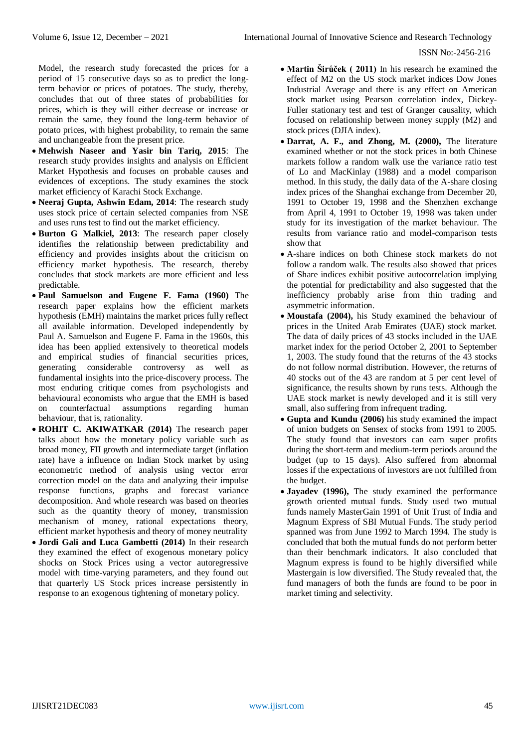Model, the research study forecasted the prices for a period of 15 consecutive days so as to predict the longterm behavior or prices of potatoes. The study, thereby, concludes that out of three states of probabilities for prices, which is they will either decrease or increase or remain the same, they found the long-term behavior of potato prices, with highest probability, to remain the same and unchangeable from the present price.

- **Mehwish Naseer and Yasir bin Tariq, 2015**: The research study provides insights and analysis on Efficient Market Hypothesis and focuses on probable causes and evidences of exceptions. The study examines the stock market efficiency of Karachi Stock Exchange.
- **Neeraj Gupta, Ashwin Edam, 2014**: The research study uses stock price of certain selected companies from NSE and uses runs test to find out the market efficiency.
- **Burton G Malkiel, 2013**: The research paper closely identifies the relationship between predictability and efficiency and provides insights about the criticism on efficiency market hypothesis. The research, thereby concludes that stock markets are more efficient and less predictable.
- **Paul Samuelson and Eugene F. Fama (1960)** The research paper explains how the efficient markets hypothesis (EMH) maintains the market prices fully reflect all available information. Developed independently by Paul A. Samuelson and Eugene F. Fama in the 1960s, this idea has been applied extensively to theoretical models and empirical studies of financial securities prices, generating considerable controversy as well as fundamental insights into the price-discovery process. The most enduring critique comes from psychologists and behavioural economists who argue that the EMH is based on counterfactual assumptions regarding human behaviour, that is, rationality.
- **ROHIT C. AKIWATKAR (2014)** The research paper talks about how the monetary policy variable such as broad money, FII growth and intermediate target (inflation rate) have a influence on Indian Stock market by using econometric method of analysis using vector error correction model on the data and analyzing their impulse response functions, graphs and forecast variance decomposition. And whole research was based on theories such as the quantity theory of money, transmission mechanism of money, rational expectations theory, efficient market hypothesis and theory of money neutrality
- **Jordi Gali and Luca Gambetti (2014)** In their research they examined the effect of exogenous monetary policy shocks on Stock Prices using a vector autoregressive model with time-varying parameters, and they found out that quarterly US Stock prices increase persistently in response to an exogenous tightening of monetary policy.
- **Martin Širůček ( 2011)** In his research he examined the effect of M2 on the US stock market indices Dow Jones Industrial Average and there is any effect on American stock market using Pearson correlation index, Dickey-Fuller stationary test and test of Granger causality, which focused on relationship between money supply (M2) and stock prices (DJIA index).
- **Darrat, A. F., and Zhong, M. (2000),** The literature examined whether or not the stock prices in both Chinese markets follow a random walk use the variance ratio test of Lo and MacKinlay (1988) and a model comparison method. In this study, the daily data of the A-share closing index prices of the Shanghai exchange from December 20, 1991 to October 19, 1998 and the Shenzhen exchange from April 4, 1991 to October 19, 1998 was taken under study for its investigation of the market behaviour. The results from variance ratio and model-comparison tests show that
- A-share indices on both Chinese stock markets do not follow a random walk. The results also showed that prices of Share indices exhibit positive autocorrelation implying the potential for predictability and also suggested that the inefficiency probably arise from thin trading and asymmetric information.
- **Moustafa (2004),** his Study examined the behaviour of prices in the United Arab Emirates (UAE) stock market. The data of daily prices of 43 stocks included in the UAE market index for the period October 2, 2001 to September 1, 2003. The study found that the returns of the 43 stocks do not follow normal distribution. However, the returns of 40 stocks out of the 43 are random at 5 per cent level of significance, the results shown by runs tests. Although the UAE stock market is newly developed and it is still very small, also suffering from infrequent trading.
- **Gupta and Kundu (2006)** his study examined the impact of union budgets on Sensex of stocks from 1991 to 2005. The study found that investors can earn super profits during the short-term and medium-term periods around the budget (up to 15 days). Also suffered from abnormal losses if the expectations of investors are not fulfilled from the budget.
- **Jayadev (1996),** The study examined the performance growth oriented mutual funds. Study used two mutual funds namely MasterGain 1991 of Unit Trust of India and Magnum Express of SBI Mutual Funds. The study period spanned was from June 1992 to March 1994. The study is concluded that both the mutual funds do not perform better than their benchmark indicators. It also concluded that Magnum express is found to be highly diversified while Mastergain is low diversified. The Study revealed that, the fund managers of both the funds are found to be poor in market timing and selectivity.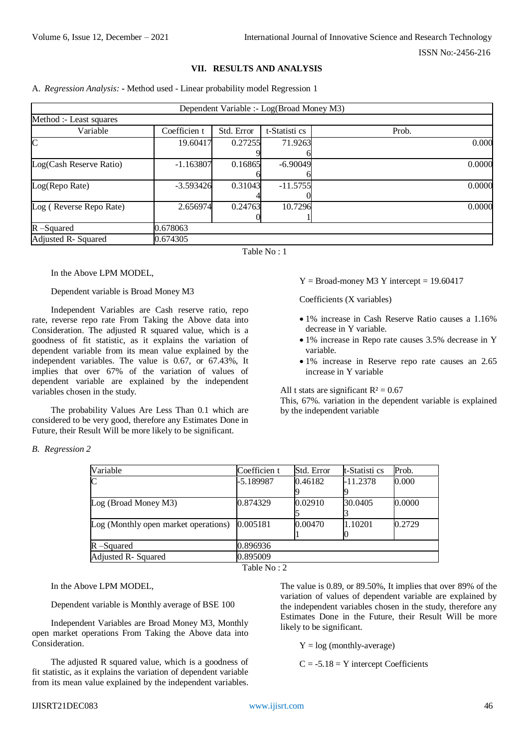#### **VII. RESULTS AND ANALYSIS**

A. *Regression Analysis:* **-** Method used - Linear probability model Regression 1

|                         |              |            | Dependent Variable :- Log(Broad Money M3) |       |        |
|-------------------------|--------------|------------|-------------------------------------------|-------|--------|
| Method :- Least squares |              |            |                                           |       |        |
| Variable                | Coefficien t | Std. Error | t-Statisti cs                             | Prob. |        |
| $\mathsf{C}$            | 19.60417     | 0.27255    | 71.9263                                   |       | 0.000  |
|                         |              |            |                                           |       |        |
| Log(Cash Reserve Ratio) | $-1.163807$  | 0.16865    | $-6.90049$                                |       | 0.0000 |
|                         |              |            |                                           |       |        |
| Log(Repo Rate)          | $-3.593426$  | 0.31043    | $-11.5755$                                |       | 0.0000 |
|                         |              |            |                                           |       |        |
| Log (Reverse Repo Rate) | 2.656974     | 0.24763    | 10.7296                                   |       | 0.0000 |
|                         |              |            |                                           |       |        |
| $R$ –Squared            | 0.678063     |            |                                           |       |        |
| Adjusted R- Squared     | 0.674305     |            |                                           |       |        |

Table No : 1

In the Above LPM MODEL,

Dependent variable is Broad Money M3

Independent Variables are Cash reserve ratio, repo rate, reverse repo rate From Taking the Above data into Consideration. The adjusted R squared value, which is a goodness of fit statistic, as it explains the variation of dependent variable from its mean value explained by the independent variables. The value is 0.67, or 67.43%, It implies that over 67% of the variation of values of dependent variable are explained by the independent variables chosen in the study.

The probability Values Are Less Than 0.1 which are considered to be very good, therefore any Estimates Done in Future, their Result Will be more likely to be significant.

 $Y = Broad$ -money M3 Y intercept = 19.60417

Coefficients (X variables)

- 1% increase in Cash Reserve Ratio causes a 1.16% decrease in Y variable.
- 1% increase in Repo rate causes 3.5% decrease in Y variable.
- 1% increase in Reserve repo rate causes an 2.65 increase in Y variable

All t stats are significant  $R^2 = 0.67$ 

This, 67%. variation in the dependent variable is explained by the independent variable

| Variable                             | Coefficien t | Std. Error | t-Statisti cs | Prob.  |
|--------------------------------------|--------------|------------|---------------|--------|
| $\overline{C}$                       | -5.189987    | 0.46182    | $-11.2378$    | 0.000  |
|                                      |              |            |               |        |
| Log (Broad Money M3)                 | 0.874329     | 0.02910    | 30.0405       | 0.0000 |
|                                      |              |            |               |        |
| Log (Monthly open market operations) | 0.005181     | 0.00470    | 1.10201       | 0.2729 |
|                                      |              |            |               |        |
| R –Squared                           | 0.896936     |            |               |        |
| Adjusted R- Squared                  | 0.895009     |            |               |        |

Table No : 2

In the Above LPM MODEL,

Dependent variable is Monthly average of BSE 100

Independent Variables are Broad Money M3, Monthly open market operations From Taking the Above data into Consideration.

The adjusted R squared value, which is a goodness of fit statistic, as it explains the variation of dependent variable from its mean value explained by the independent variables.

The value is 0.89, or 89.50%, It implies that over 89% of the variation of values of dependent variable are explained by the independent variables chosen in the study, therefore any Estimates Done in the Future, their Result Will be more likely to be significant.

 $Y = log (monthly-average)$ 

 $C = -5.18 = Y$  intercept Coefficients

*B. Regression 2*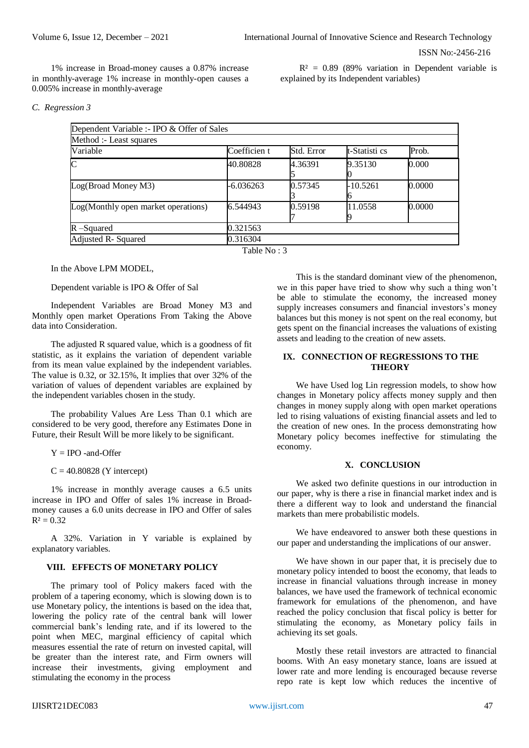1% increase in Broad-money causes a 0.87% increase in monthly-average 1% increase in monthly-open causes a 0.005% increase in monthly-average

 $R<sup>2</sup> = 0.89$  (89% variation in Dependent variable is explained by its Independent variables)

#### *C. Regression 3*

| Dependent Variable :- IPO & Offer of Sales |              |            |               |        |  |  |  |
|--------------------------------------------|--------------|------------|---------------|--------|--|--|--|
| Method :- Least squares                    |              |            |               |        |  |  |  |
| Variable                                   | Coefficien t | Std. Error | t-Statisti cs | Prob.  |  |  |  |
| $\overline{\rm C}$                         | 40.80828     | 4.36391    | 9.35130       | 0.000  |  |  |  |
| Log(Broad Money M3)                        | $-6.036263$  | 0.57345    | $-10.5261$    | 0.0000 |  |  |  |
| Log(Monthly open market operations)        | 6.544943     | 0.59198    | 11.0558       | 0.0000 |  |  |  |
| $R$ –Squared                               | 0.321563     |            |               |        |  |  |  |
| Adjusted R- Squared                        | 0.316304     |            |               |        |  |  |  |

Table  $No \cdot 3$ 

In the Above LPM MODEL,

Dependent variable is IPO & Offer of Sal

Independent Variables are Broad Money M3 and Monthly open market Operations From Taking the Above data into Consideration.

The adjusted R squared value, which is a goodness of fit statistic, as it explains the variation of dependent variable from its mean value explained by the independent variables. The value is 0.32, or 32.15%, It implies that over 32% of the variation of values of dependent variables are explained by the independent variables chosen in the study.

The probability Values Are Less Than 0.1 which are considered to be very good, therefore any Estimates Done in Future, their Result Will be more likely to be significant.

 $Y = IPO$  -and-Offer

 $C = 40.80828$  (Y intercept)

1% increase in monthly average causes a 6.5 units increase in IPO and Offer of sales 1% increase in Broadmoney causes a 6.0 units decrease in IPO and Offer of sales  $R^2 = 0.32$ 

A 32%. Variation in Y variable is explained by explanatory variables.

# **VIII. EFFECTS OF MONETARY POLICY**

The primary tool of Policy makers faced with the problem of a tapering economy, which is slowing down is to use Monetary policy, the intentions is based on the idea that, lowering the policy rate of the central bank will lower commercial bank's lending rate, and if its lowered to the point when MEC, marginal efficiency of capital which measures essential the rate of return on invested capital, will be greater than the interest rate, and Firm owners will increase their investments, giving employment and stimulating the economy in the process

This is the standard dominant view of the phenomenon, we in this paper have tried to show why such a thing won't be able to stimulate the economy, the increased money supply increases consumers and financial investors's money balances but this money is not spent on the real economy, but gets spent on the financial increases the valuations of existing assets and leading to the creation of new assets.

# **IX. CONNECTION OF REGRESSIONS TO THE THEORY**

We have Used log Lin regression models, to show how changes in Monetary policy affects money supply and then changes in money supply along with open market operations led to rising valuations of existing financial assets and led to the creation of new ones. In the process demonstrating how Monetary policy becomes ineffective for stimulating the economy.

# **X. CONCLUSION**

We asked two definite questions in our introduction in our paper, why is there a rise in financial market index and is there a different way to look and understand the financial markets than mere probabilistic models.

We have endeavored to answer both these questions in our paper and understanding the implications of our answer.

We have shown in our paper that, it is precisely due to monetary policy intended to boost the economy, that leads to increase in financial valuations through increase in money balances, we have used the framework of technical economic framework for emulations of the phenomenon, and have reached the policy conclusion that fiscal policy is better for stimulating the economy, as Monetary policy fails in achieving its set goals.

Mostly these retail investors are attracted to financial booms. With An easy monetary stance, loans are issued at lower rate and more lending is encouraged because reverse repo rate is kept low which reduces the incentive of